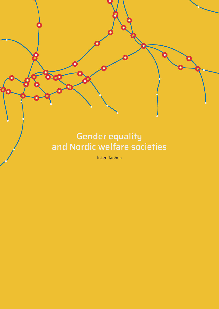# Gender equality and Nordic welfare societies

600

Inkeri Tanhua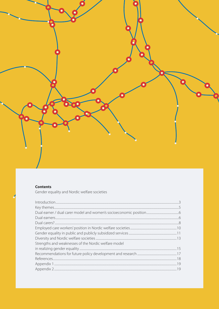

#### **Contents**

Gender equality and Nordic welfare societies

| Strengths and weaknesses of the Nordic welfare model |  |
|------------------------------------------------------|--|
|                                                      |  |
|                                                      |  |
|                                                      |  |
|                                                      |  |
|                                                      |  |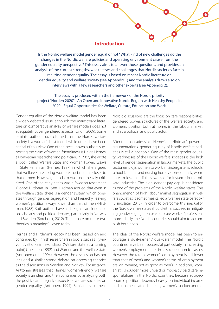#### **Introduction**

Is the Nordic welfare model gender equal or not? What kind of new challenges do the changes in the Nordic welfare policies and operating environment cause from the gender equality perspective? This essay aims to answer those questions, and provides an analysis of the current strengths, weaknesses and challenges that Nordic societies face in realizing gender equality. The essay is based on recent Nordic literature on gender equality and welfare society (see Appendix 1) and the analysis draws also on interviews with a few researchers and other experts (see Appendix 2).

#### The essay is produced within the framework of the Nordic priority project ["Norden 2020"](http://stm.fi/en/nordic-cooperation/an-open-and-innovative-nordic-region-with-healthy-people-2020) - An Open and Innovative Nordic Region with Healthy People in 2020 - Equal Opportunities for Welfare, Culture, Education and Work.

Gender equality of the Nordic welfare model has been a widely debated issue, although the mainstream literature on comparative analysis of welfare models does not adequately cover gendered aspects (Orloff, 2009). Some feminist authors have claimed that the Nordic welfare society is a woman's best friend, while others have been critical of this view. One of the best-known authors supporting the claim of woman-friendliness is Helga Hernes, a Norwegian researcher and politician. In 1987, she wrote a book called Welfare State and Woman Power: Essays in State Feminism (Hernes, 1987) in which she argued that welfare states bring women's social status closer to that of men. However, this claim was soon heavily criticized. One of the early critics was a Swedish researcher, Yvonne Hirdman. In 1988, Hirdman argued that even in the welfare state, there is a gender system which operates through gender segregation and hierarchy, leaving women's position always lower than that of men (Hirdman, 1988). Both authors have had a significant influence on scholarly and political debates, particularly in Norway and Sweden (Borchorst, 2012). The debate on these two theories is meaningful even today.

Hernes' and Hirdman's legacy has been passed on and continued by Finnish researchers in books such as Hyvinvointivaltio käännekohdassa (Welfare state at a turning point) (Julkunen, 1992) and Women and the welfare state (Anttonen et al., 1994). However, the discussion has not included a similar strong debate on opposing theories as the discussions in Sweden and Norway. For instance, Anttonen stresses that Hernes' woman-friendly welfare society is an ideal, and then continues by analyzing both the positive and negative aspects of welfare societies on gender equality (Anttonen, 1994). Similarities of these

Nordic discussions are the focus on care responsibilities, gendered power, structures of the welfare society, and women's position both at home, in the labour market, and as a political and public actor.

After three decades since Hernes' and Hirdman's powerful argumentations, gender equality of Nordic welfare societies is still a hot topic. One of the main gender equality weaknesses of the Nordic welfare societies is the high level of gender segregation in labour markets. The public sector employs women to work in kindergartens, schools, school kitchens and nursing homes. Consequently, women earn less than if they worked for instance in the private industries. The high gender pay gap is considered as one of the problems of the Nordic welfare states. This phenomenon of high labour market segregation in welfare societies is sometimes called a "welfare state paradox" (Ellingsæter, 2013). In order to overcome this inequality, the Nordic welfare states should either succeed in mitigating gender segregation or value care workers' professions more. Ideally, the Nordic countries should aim to accomplish both goals.

The ideal of the Nordic welfare model has been to encourage a dual-earner / dual-carer model. The Nordic countries have been successful particularly in increasing women's employment rates in all socioeconomic classes. However, the rate of women's employment is still lower than that of men's and women's terms of employment are, on average, not as good as men's. In addition, women still shoulder more unpaid or modestly paid care responsibilities in the Nordic countries. Because socioeconomic position depends heavily on individual income and income related benefits, women's socioeconomic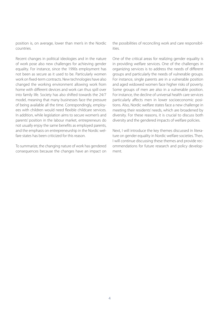position is, on average, lower than men's in the Nordic countries.

Recent changes in political ideologies and in the nature of work pose also new challenges for achieving gender equality. For instance, since the 1990s employment has not been as secure as it used to be. Particularly women work on fixed-term contracts. New technologies have also changed the working environment allowing work from home with different devices and work can thus spill over into family life. Society has also shifted towards the 24/7 model, meaning that many businesses face the pressure of being available all the time. Correspondingly, employees with children would need flexible childcare services. In addition, while legislation aims to secure women's and parents' position in the labour market, entrepreneurs do not usually enjoy the same benefits as employed parents, and the emphasis on entrepreneurship in the Nordic welfare states has been criticized for this reason.

To summarize, the changing nature of work has gendered consequences because the changes have an impact on

the possibilities of reconciling work and care responsibilities.

One of the critical areas for realizing gender equality is in providing welfare services. One of the challenges in organizing services is to address the needs of different groups and particularly the needs of vulnerable groups. For instance, single parents are in a vulnerable position and aged widowed women face higher risks of poverty. Some groups of men are also in a vulnerable position. For instance, the decline of universal health care services particularly affects men in lower socioeconomic positions. Also, Nordic welfare states face a new challenge in meeting their residents' needs, which are broadened by diversity. For these reasons, it is crucial to discuss both diversity and the gendered impacts of welfare policies.

Next, I will introduce the key themes discussed in literature on gender equality in Nordic welfare societies. Then, I will continue discussing these themes and provide recommendations for future research and policy development.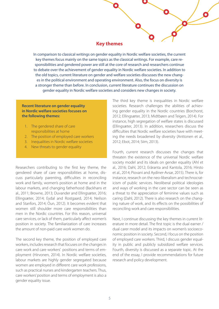#### **Key themes**

r

In comparison to classical writings on gender equality in Nordic welfare societies, the current key themes focus mainly on the same topics as the classical writings. For example, care responsibilities and gendered power are still at the core of research and researchers continue to debate over the achievement of gender equality in Nordic welfare societies. In addition to the old topics, current literature on gender and welfare societies discusses the new changes in the political environment and operating environment. Also, the focus on diversity is a stronger theme than before. In conclusion, current literature continues the discussion on gender equality in Nordic welfare societies and considers new changes in society.

#### **Recent literature on gender equality in Nordic welfare societies focuses on the following themes:**

- 1. The gendered share of care responsibilities at home
- 2. The position of employed care workers
- 3. Inequalities in Nordic welfare societies
- 4. New threats to gender equality

Researchers contributing to the first key theme, the gendered share of care responsibilities at home, discuss particularly parenting, difficulties in reconciling work and family, women's position at home and in the labour markets, and changing fatherhood (Backhans et al., 2011; Browne, 2013; Duvander and Ellingsæter, 2016; Ellingsæter, 2014; Eydal and Rostgaard, 2014; Neilson and Stanfors, 2014; Öun, 2012). It becomes evident that women still shoulder more care responsibilities than men in the Nordic countries. For this reason, universal care services, or lack of them, particularly affect women's position in society. The familiarization of care increases the amount of non-paid care work women do.

The second key theme, the position of employed care workers, includes research that focuses on the changes in care work and care workers' positions and terms of employment (Hirvonen, 2014). In Nordic welfare societies, labour markets are highly gender segregated because women are employed in different care work professions, such as practical nurses and kindergarten teachers. Thus, care workers' position and terms of employment is also a gender equality issue.

The third key theme is inequalities in Nordic welfare societies. Research challenges the abilities of achieving gender equality in the Nordic countries (Borchorst, 2012; Ellingsæter, 2013; Midtbøen and Teigen, 2014). For instance, high segregation of welfare states is discussed (Ellingsæter, 2013). In addition, researchers discuss the difficulties that Nordic welfare societies have with meeting the needs broadened by diversity (Anttonen et al., 2012; Ebot, 2014; Siim, 2013).

Fourth, current research discusses the changes that threaten the existence of the universal Nordic welfare society model and its ideals on gender equality (Ahl et al., 2016; Dahl, 2012; Eräranta and Kantola, 2016; Hirsto et al., 2014; Piovani and Aydiner-Avsar, 2015). There is, for instance, research on the neo-liberalism and technocraticism of public services. Neoliberal political ideologies and ways of working in the care sector can be seen as a threat to the appreciation of feminine values such as caring (Dahl, 2012). There is also research on the changing nature of work, and its effects on the possibilities of reconciling work and care responsibilities.

Next, I continue discussing the key themes in current literature in more detail. The first topic is the dual earner / dual carer model and its impacts on women's socioeconomic position in society. Second, I focus on the position of employed care workers. Third, I discuss gender equality in public and publicly subsidized welfare services. Fourth, diversity is discussed as a separate topic. At the end of the essay, I provide recommendations for future research and policy development.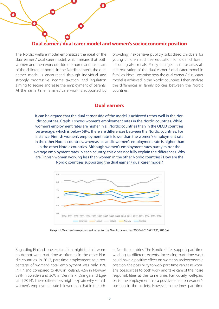

The Nordic welfare model emphasizes the ideal of the dual earner / dual carer model, which means that both women and men work outside the home and take care of the children at home. In the Nordic context, the dual earner model is encouraged through individual and strongly progressive income taxation, and legislation aiming to secure and ease the employment of parents. At the same time, families' care work is supported by

providing inexpensive publicly subsidised childcare for young children and free education for older children, including also meals. Policy changes in these areas affect realization of the dual earner / dual carer model in families. Next, I examine how the dual earner / dual carer model is achieved in the Nordic countries. I then analyse the differences in family policies between the Nordic countries.

### **Dual earners**

It can be argued that the dual earner side of the model is achieved rather well in the Nordic countries. Graph 1 shows women's employment rates in the Nordic countries. While women's employment rates are higher in all Nordic countries than in the OECD countries on average, which is below 58%, there are differences between the Nordic countries. For instance, Finnish women's employment rate is lower than the women's employment rate in the other Nordic countries, whereas Icelandic women's employment rate is higher than in the other Nordic countries. Although women's employment rates partly mirror the average employment rates in each country, this does not fully explain the differences. Why are Finnish women working less than women in the other Nordic countries? How are the Nordic countries supporting the dual earner / dual carer model?



Graph 1. Women's employment rates in the Nordic countries 2000–2016 (OECD, 2016a)

Regarding Finland, one explanation might be that women do not work part-time as often as in the other Nordic countries. In 2012, part-time employment as a percentage of women's total employment was only 19% in Finland compared to 46% in Iceland, 42% in Norway, 39% in Sweden and 36% in Denmark (Drange and Egeland, 2014). These differences might explain why Finnish women's employment rate is lower than that in the other Nordic countries. The Nordic states support part-time working to different extents. Increasing part-time work could have a positive effect on women's socioeconomic position: the possibility to work part-time can ease women's possibilities to both work and take care of their care responsibilities at the same time. Particularly well-paid part-time employment has a positive effect on women's position in the society. However, sometimes part-time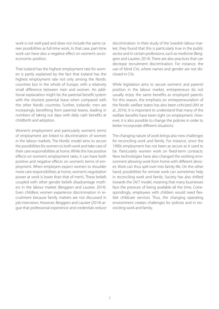work is not well-paid and does not include the same career possibilities as full-time work. In that case, part-time work can have also a negative effect on women's socioeconomic position.

That Iceland has the highest employment rate for women is partly explained by the fact that Iceland has the highest employment rate not only among the Nordic countries but in the whole of Europe, with a relatively small difference between men and women. An additional explanation might be the parental benefit system with the shortest parental leave when compared with the other Nordic countries. Further, Icelandic men are increasingly benefiting from parental leaves, leading in numbers of taking out days with daily cash benefits at childbirth and adoption.

Women's employment and particularly women's terms of employment are linked to discrimination of women in the labour markets. The Nordic model aims to secure the possibilities for women to both work and take care of their care responsibilities at home. While this has positive effects on women's employment rates, it can have both positive and negative effects on women's terms of employment. When employers expect women to shoulder more care responsibilities at home, women's negotiation power at work is lower than that of men's. These beliefs coupled with other gender beliefs disadvantage mothers in the labour market (Berggren and Lauster, 2014). Even childless women experience discrimination in recruitment because family matters are not discussed in job interviews. However, Berggren and Lauster (2014) argue that professional experience and credentials reduce discrimination. In their study of the Swedish labour market, they found that this is particularly true in the public sector and in certain professions, such as medicine (Berggren and Lauster, 2014). There are also practices that can decrease recruitment discrimination. For instance, the use of blind CVs, where names and gender are not disclosed in CVs.

While legislation aims to secure women's and parents' position in the labour market, entrepreneurs do not usually enjoy the same benefits as employed parents. For this reason, the emphasis on entrepreneurialism of the Nordic welfare states has also been criticized (Ahl et al., 2016). It is important to understand that many of the welfare benefits have been tight on employment. However, it is also possible to change the policies in order to better incorporate different situations.

The changing nature of work brings also new challenges for reconciling work and family. For instance, since the 1990s employment has not been as secure as it used to be. Particularly women work on fixed-term contracts. New technologies have also changed the working environment allowing work from home with different devices. Work can thus spill over into family life. On the other hand, possibilities for remote work can sometimes help in reconciling work and family. Society has also shifted towards the 24/7 model, meaning that many businesses face the pressure of being available all the time. Correspondingly, employees with children would need flexible childcare services. Thus, the changing operating environment creates challenges for policies and in reconciling work and family.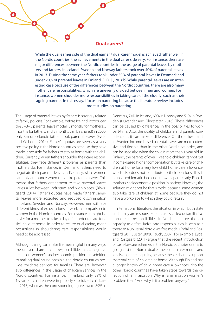#### **Dual carers?**

While the dual earner side of the dual earner / dual carer model is achieved rather well in the Nordic countries, the achievements in the dual carer side vary. For instance, there are major differences between the Nordic countries in the usage of parental leaves by mothers and fathers. In Iceland, Sweden and Norway fathers took over 40% of parental leaves in 2013. During the same year, fathers took under 30% of parental leaves in Denmark and under 20% of parental leaves in Finland. (OECD, 2016b) While parental leaves are an interesting case because of the differences between the Nordic countries, there are also many other care responsibilities, which are unevenly divided between men and women. For instance, women shoulder more responsibilities in taking care of the elderly, such as their ageing parents. In this essay, I focus on parenting because the literature review includes more studies on parenting.

The usage of parental leaves by fathers is strongly related to family policies. For example, before Iceland introduced the 3+3+3 parental leave model (3 months for mothers, 3 months for fathers, and 3 months can be shared) in 2000, only 3% of Icelandic fathers took parental leaves (Eydal and Gislason, 2014). Father's quotas are seen as a very positive policy in the Nordic countries because they have made it possible for fathers to stay at home with the children. Currently, when fathers shoulder their care responsibilities, they face different problems as parents than mothers do. For instance, in Denmark, fathers need to negotiate their parental leaves individually, while women can only announce when they take parental leaves. This means that fathers' entitlement to take parental leaves varies a lot between industries and workplaces. (Bloksgaard, 2014). Father's quotas have made fathers' parental leaves more accepted and reduced discrimination in Iceland, Sweden and Norway. However, men still face different kinds of expectations at work in comparison to women in the Nordic countries. For instance, it might be easier for a mother to take a day off in order to care for a sick child at home. In order to realize dual caring, men's possibilities in shouldering care responsibilities would need to be addressed.

 $\bullet$ 

Although caring can make life meaningful in many ways, the uneven share of care responsibilities has a negative effect on women's socioeconomic position. In addition to making dual caring possible, the Nordic countries provide childcare services for families. There are, however, also differences in the usage of childcare services in the Nordic countries. For instance, in Finland only 29% of 1-year old children were in publicly subsidized childcare in 2013, whereas the corresponding figures were 89% in

Denmark, 74% in Iceland, 69% in Norway and 51% in Sweden (Duvander and Ellingsæter, 2016). These differences can be caused by differences in the possibilities to work part-time. Also, the quality of childcare and parents' confidence in it can make a difference. On the other hand, in Sweden income-based parental leaves are more extensive and flexible than in the other Nordic countries, and can be used also when the child is more than 1-year old. In Finland, the parents of over 1-year old children cannot get income-based higher compensation but take care of children at home for a very low child home care allowance, which also does not contribute to their pensions. This is highly problematic because it lowers particularly Finnish mothers' socioeconomic position in society. However, the solution might not be that simple, because some women also take care of children at home because they do not have a workplace to which they could return.

In international literature, the situation in which both state and family are responsible for care is called defamiliarization of care responsibilities. In Nordic literature, the lost capacity to defamiliarize care responsibilities is seen as a threat to a universal Nordic welfare model (Eydal and Rostgaard, 2011; Lister, 2009; Rauch, 2007). For example, Eydal and Rostgaard (2011) argue that the recent introduction of cash-for-care schemes in the Nordic countries seems to go against the Nordic dual earner / dual carer model and ideals of gender equality, because these schemes support maternal care of children at home. Although Finland has a longer history of child home care allowances, also the other Nordic countries have taken steps towards the direction of familiarization. Why is familiarisation women's problem then? And why is it a problem anyway?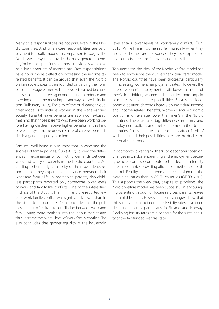Many care responsibilities are not paid, even in the Nordic countries. And when care responsibilities are paid, payment is usually modest in comparison to wages. The Nordic welfare system provides the most generous benefits, for instance pensions, for those individuals who have paid high amounts of income tax. Care responsibilities have no or modest effect on increasing the income tax related benefits. It can be argued that even the Nordic welfare society ideal is thus founded on valuing the norm of a (male) wage earner. Full-time work is valued because it is seen as guaranteeing economic independence and as being one of the most important ways of social inclusion (Julkunen, 2013). The aim of the dual earner / dual carer model is to include women in the wage-earning society. Parental leave benefits are also income-based, meaning that those parents who have been working before having children receive higher benefits. In this kind of welfare system, the uneven share of care responsibilities is a gender equality problem.

Families' well-being is also important in assessing the success of family policies. Öun (2012) studied the differences in experiences of conflicting demands between work and family of parents in the Nordic countries. According to her study, a majority of the respondents reported that they experience a balance between their work and family life. In addition to parents, also childless participants reported only somewhat lower levels of work and family life conflicts. One of the interesting findings of the study is that in Finland the reported level of work-family conflict was significantly lower than in the other Nordic countries. Öun concludes that the policies aiming to facilitate reconciliation between work and family bring more mothers into the labour market and thus increase the overall level of work-family conflict. She also concludes that gender equality at the household level entails lower levels of work-family conflict. (Öun, 2012). While Finnish women suffer financially when they use child home care allowances, they also experience less conflicts in reconciling work and family life.

To summarize, the ideal of the Nordic welfare model has been to encourage the dual earner / dual carer model. The Nordic countries have been successful particularly in increasing women's employment rates. However, the rate of women's employment is still lower than that of men's. In addition, women still shoulder more unpaid or modestly paid care responsibilities. Because socioeconomic position depends heavily on individual income and income-related benefits, women's socioeconomic position is, on average, lower than men's in the Nordic countries. There are also big differences in family and employment policies and their outcomes in the Nordic countries. Policy changes in these areas affect families' well-being and their possibilities to realize the dual earner / dual carer model.

In addition to lowering mothers' socioeconomic position, changes in childcare, parenting and employment security policies can also contribute to the decline in fertility rates in countries providing affordable methods of birth control. Fertility rates per woman are still higher in the Nordic countries than in OECD countries (OECD, 2015). This supports the view that, despite its problems, the Nordic welfare model has been successful in encouraging parenting through childcare services, parental leaves and child benefits. However, recent changes show that this success might not continue. Fertility rates have been declining recently particularly in Finland and Norway. Declining fertility rates are a concern for the sustainability of the tax-funded welfare state.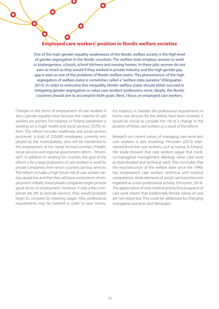## **Employed care workers' position in Nordic welfare societies**

One of the main gender equality weaknesses of the Nordic welfare society is the high level of gender segregation in the Nordic countries. The welfare state employs women to work in kindergartens, schools, school kitchens and nursing homes. In these jobs women do not earn as much as they would if they worked in private industry and the high gender pay gap is seen as one of the problems of Nordic welfare states. This phenomenon of the high segregation of welfare states is sometimes called a "welfare state paradox" (Ellingsæter, 2013). In order to overcome this inequality, Nordic welfare states should either succeed in mitigating gender segregation or value care workers' professions more. Ideally, the Nordic countries should aim to accomplish both goals. Next, I focus on employed care workers.

Changes in the terms of employment of care workers is also a gender equality issue because the majority of care workers are women. For instance, in Finland, parliament is working on a major health and social services (SOTE) reform. This reform includes healthcare and social services personnel, a total of 220,000 employees, currently employed by the municipalities, who will be transferred to the employment of the newly formed counties ("Health, social services and regional government reform - Personnel"). In addition to working for counties, the goal of the reform is for a large proportion of care workers to work for private companies, from which counties can buy services. This reform includes a high future risk of care workers being valued less and that they will have worse terms of employment. Initially, these private companies might provide good terms of employment. However, if only a few companies are left to provide services, they would probably begin to compete by lowering wages. Also, professional requirements may be lowered in order to save money.

 $\mathbf O$ 

For instance, in Sweden the professional requirements in home care services for the elderly have been lowered. It would be crucial to consider the risk of a change in the position of these care workers as a result of the reform.

Research on current values of managing care work and care workers is also troubling. Hirvonen (2013) interviewed front-line care workers, such as nurses, in Finland. Her study showed that care workers argue that medico-managerial management ideology views care work as disembodied and technical work. She concludes that the reconstruction of the welfare state since the 1990s has emphasized care workers' technical and medical competence, while elements of social care have become regarded as a non-professional activity. (Hirvonen, 2014). The appreciation of only medical and technical aspects of care work means that traditionally female values of care are not respected. This could be addressed by changing managerial practices and ideologies.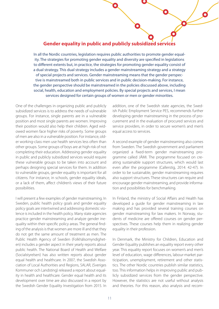### **Gender equality in public and publicly subsidized services**

In all the Nordic countries, legislation requires public authorities to promote gender equality. The strategies for promoting gender equality and diversity are specified in legislations to different extents but, in practice, the strategies for promoting gender equality consist of a dual strategy. This dual strategy includes a gender mainstreaming strategy and a strategy of special projects and services. Gender mainstreaming means that the gender perspective is mainstreamed both in public services and in public decision-making. For instance, the gender perspective should be mainstreamed in the policies discussed above, including social, health, education and employment policies. By special projects and services, I mean services designed for certain groups of women or men or gender minorities.

One of the challenges in organizing public and publicly subsidized services is to address the needs of vulnerable groups. For instance, single parents are in a vulnerable position and most single parents are women. Improving their position would also help their children. Aged widowed women face higher risks of poverty. Some groups of men are also in a vulnerable position. For instance, older working-class men use health services less often than other groups. Some groups of boys are at high risk of not completing their education. Addressing gender equality in public and publicly subsidized services would require these vulnerable groups to be taken into account and perhaps designing special services for them. In addition to vulnerable groups, gender equality is important for all citizens. For instance, in schools, gender equality ideals, or a lack of them, affect children's views of their future possibilities.

I will present a few examples of gender mainstreaming. In Sweden, public health policy goals and gender equality policy goals are intertwined and addressing domestic violence is included in the health policy. Many state agencies practice gender mainstreaming and analyze gender inequality within their specific policy areas. The general finding of the analysis is that women are more ill and that they do not get the same amount of treatment as men. The Public Health Agency of Sweden (Folkhälsomyndigheten) includes a gender aspect in their yearly reports about public health. The National Board of Health and Welfare (Socialstyrelsen) has also written reports about gender equal health and healthcare. In 2007, the Swedish Association of Local Authorities and Regions, SALAR, (Sveriges Kommuner och Landsting) released a report about equality in health and healthcare. Gender equal health and its development over time are also discussed in a report by the Swedish Gender Equality Investigation from 2015. In

addition, one of the Swedish state agencies, the Swedish Public Employment Service PES, recommends further developing gender mainstreaming in the process of procurement and in the evaluation of procured services and service providers, in order to secure women's and men's equal access to services.

A second example of gender mainstreaming also comes from Sweden. The Swedish government and parliament organized a fixed-term gender mainstreaming programme called JÄMI. The programme focused on creating sustainable support structures, which would last even after the programme (Callerstig, 2014: 42-47). In order to be sustainable, gender mainstreaming requires also support structures. These structures can require and encourage gender mainstreaming, and provide information and possibilities for benchmarking.

In Finland, the ministry of Social Affairs and Health has developed a guide for gender mainstreaming in law making and has provided several training courses on gender mainstreaming for law makers. In Norway, students of medicine are offered courses on gender perspectives. These courses help them in realizing gender equality in their profession.

In Denmark, the Ministry for Children, Education and Gender Equality publishes an equality report every other year. This equality report focuses on women's and men's level of education, wage differences, labour-market participation, unemployment, retirement and other statistics. The other Nordic countries publish similar statistics, too. This information helps in improving public and publicly subsidized services from the gender perspective. However, the statistics are not useful without analysis and theories. For this reason, also analysis and recom-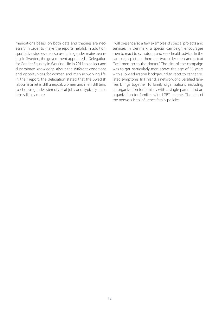mendations based on both data and theories are necessary in order to make the reports helpful. In addition, qualitative studies are also useful in gender mainstreaming. In Sweden, the government appointed a Delegation for Gender Equality in Working Life in 2011 to collect and disseminate knowledge about the different conditions and opportunities for women and men in working life. In their report, the delegation stated that the Swedish labour market is still unequal: women and men still tend to choose gender stereotypical jobs and typically male jobs still pay more.

I will present also a few examples of special projects and services. In Denmark, a special campaign encourages men to react to symptoms and seek health advice. In the campaign picture, there are two older men and a text "Real men go to the doctor". The aim of the campaign was to get particularly men above the age of 55 years with a low education background to react to cancer-related symptoms. In Finland, a network of diversified families brings together 10 family organizations, including an organization for families with a single parent and an organization for families with LGBT parents. The aim of the network is to influence family policies.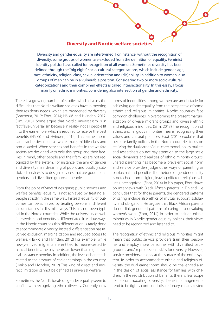#### **Diversity and Nordic welfare societies**

Diversity and gender equality are intertwined. For instance, without the recognition of diversity, some groups of women are excluded from the definition of equality. Feminist identity politics have called for recognition of all women. Sometimes diversity has been defined through the "big eight" socio-cultural categorizations, which include gender, age, race, ethnicity, religion, class, sexual orientation and (dis)ability. In addition to women, also groups of men can be in a vulnerable position. Considering two or more socio-cultural categorizations and their combined effects is called intersectionality. In this essay, I focus mainly on ethnic minorities, considering also intersection of gender and ethnicity.

There is a growing number of studies which discuss the difficulties that Nordic welfare societies have in meeting their residents' needs, which are broadened by diversity (Borchorst, 2012; Ebot, 2014; Häikiö and Hvinden, 2012; Siim, 2013). Some argue that Nordic universalism is in fact false universalism because in reality, not all people fit into the earner role, which is required to receive the best benefits (Häikiö and Hvinden, 2012). This earner norm can also be described as white, male, middle-class and non-disabled. When services and benefits in the welfare society are designed with only this group and their families in mind, other people and their families are not recognized by the system. For instance, the aim of gender and diversity mainstreaming of public and publicly subsidized services is to design services that are good for all genders and diversified groups of people.

From the point of view of designing public services and welfare benefits, equality is not achieved by treating all people strictly in the same way. Instead, equality of outcomes can be achieved by treating persons in different circumstances in dissimilar ways. This has not been typical in the Nordic countries. While the universality of welfare services and benefits is differentiated in various ways in the Nordic countries this differentiation is rarely done to accommodate diversity. Instead, differentiation has involved exclusion, marginalization and reduced access to welfare. (Häikiö and Hvinden, 2012) For example, while newly-arrived migrants are entitled to means-tested financial benefits, the payments are lower than regular social assistance benefits. In addition, the level of benefits is related to the amount of earlier earnings in the country. (Häikiö and Hvinden, 2012) This kind of direct and indirect limitation cannot be defined as universal welfare.

Sometimes the Nordic ideals on gender equality seem to conflict with recognizing ethnic diversity. Currently, new

forms of inequalities among women are an obstacle for achieving gender equality from the perspective of some ethnic and religious minorities. Nordic countries face common challenges in overcoming the present marginalization of diverse migrant groups and diverse ethnic and religious minorities. (Siim, 2013) The recognition of ethnic and religious minorities means recognizing their values and cultural practices. Ebot (2014) explains that because family policies in the Nordic countries focus on realizing the dual earner / dual carer model, policy makers and researchers do not pay attention to the large-scale social dynamics and realities of ethnic minority groups. Shared parenting has become a prevalent social norm and service providers judge other ways of parenting as patriarchal and peculiar. The rhetoric of gender equality is detached from religion, leaving different religious values unrecognized. (Ebot, 2014) In his paper, Ebot draws on interviews with Black African parents in Finland. He concludes that for those parents, the gendered patterns of caring include also ethics of mutual support, solidarity and obligation. He argues that Black African parents do not link gendered patterns of caring into devaluing women's work. (Ebot, 2014) In order to include ethnic minorities in Nordic gender equality politics, their views need to be recognized and listened to.

The recognition of ethnic and religious minorities might mean that public service providers train their personnel and employ more personnel with diversified backgrounds and/or professional skills for diversity. However, service providers are only at the surface of the entire system. In order to accommodate ethnic and religious diversity, the dual earner norm should be challenged also in the design of social assistance for families with children. In the redistribution of benefits, there is less scope for accommodating diversity: benefit arrangements tend to be tightly controlled, discretionary, means-tested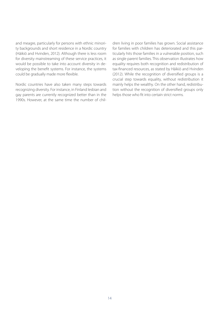and meagre, particularly for persons with ethnic minority backgrounds and short residence in a Nordic country (Häikiö and Hvinden, 2012). Although there is less room for diversity mainstreaming of these service practices, it would be possible to take into account diversity in developing the benefit systems. For instance, the systems could be gradually made more flexible.

Nordic countries have also taken many steps towards recognizing diversity. For instance, in Finland lesbian and gay parents are currently recognized better than in the 1990s. However, at the same time the number of children living in poor families has grown. Social assistance for families with children has deteriorated and this particularly hits those families in a vulnerable position, such as single parent families. This observation illustrates how equality requires both recognition and redistribution of tax-financed resources, as stated by Häikiö and Hvinden (2012). While the recognition of diversified groups is a crucial step towards equality, without redistribution it mainly helps the wealthy. On the other hand, redistribution without the recognition of diversified groups only helps those who fit into certain strict norms.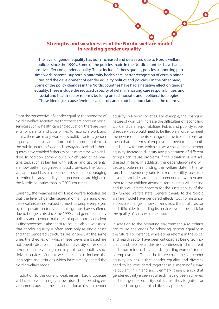#### **Strengths and weaknesses of the Nordic welfare model in realizing gender equality**

The level of gender equality has both increased and decreased due to Nordic welfare policies since the 1990s. Some of the policies made in the Nordic countries have had a positive effect on gender equality. These include father's quotas, policies supporting parttime work, parental support in maternity health care, better recognition of certain minorities and the development of gender equality politics and policies. On the other hand, some of the policy changes in the Nordic countries have had a negative effect on gender equality. These include the reduced capacity of defamiliarizating care responsibilities, and social and health sector reforms building on technocratic and neoliberal ideologies. These ideologies cause feminine values of care to not be appreciated in the reforms.

From the perspective of gender equality, the strengths of Nordic welfare societies are that there are good universal services such as health care and education, there are benefits for parents and possibilities to reconcile work and family, there are many women as political actors, gender equality is mainstreamed into politics, and people trust the public sector. In Sweden, Norway and Iceland father's quotas have enabled fathers to have more time with children. In addition, some groups, which used to be marginalized, such as families with lesbian and gay parents, are now better recognized in public services. The Nordic welfare model has also been successful in encouraging parenting because fertility rates per woman are higher in the Nordic countries than in OECD countries.

Currently, the weaknesses of Nordic welfare societies are that the level of gender segregation is high, employed care workers are not valued as much as people employed by the private sector, vulnerable groups have suffered due to budget cuts since the 1990s, and gender equality policies and gender mainstreaming are not as efficient as fine speeches claim them to be. It is also a weakness that gender equality is often seen only as single cases and that gendered structures are ignored. At the same time, the theories on which these views are based are not openly discussed. In addition, diversity of residents is not adequately recognized in public and publicly subsidized services. Current weaknesses also include the ideologies and attitudes which have already altered the Nordic welfare model.

In addition to the current weaknesses, Nordic societies will face more challenges in the future. The operating environment causes some challenges for achieving gender

equality in Nordic societies. For example, the changing nature of work can increase the difficulties of reconciling work and care responsibilities. Public and publicly subsidized services would need to be flexible in order to meet the new requirements. Changes in the trade unions can mean that the terms of employment need to be negotiated in new forums, which causes a challenge for gender equality. Increased diversity and polarization of different groups can cause problems if the situation is not addressed in time. In addition, the dependency ratio will cause problems in funding the welfare state in the future. The dependency ratio is linked to fertility rates, too. If Nordic societies are unable to encourage women and men to have children anymore, fertility rates will decline and this will create concern for the sustainability of the tax-funded welfare state. General threats to the Nordic welfare model have gendered effects, too. For instance, a possible change in how citizens trust the public sector and difficulties in funding its services would be a risk for the quality of services in the future.

In addition to the operating environment, also politics can cause challenges for achieving gender equality in the future. For instance, while earlier reforms in the social and health sector have been criticized as being technocratic and neoliberal, this risk continues in the current and future reforms. This is a risk regarding women's terms of employment. One of the future challenges of gender equality politics is that gender equality and diversity need to be considered together in a meaningful way. Particularly in Finland and Denmark, there is a risk that gender equality is seen as already having been achieved and that gender equality politics are thus forgotten or changed into gender blind diversity politics.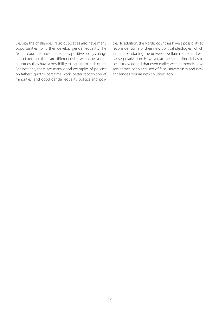Despite the challenges, Nordic societies also have many opportunities to further develop gender equality. The Nordic countries have made many positive policy changes and because there are differences between the Nordic countries, they have a possibility to learn from each other. For instance, there are many good examples of policies on father's quotas, part-time work, better recognition of minorities, and good gender equality politics and policies. In addition, the Nordic countries have a possibility to reconsider some of their new political ideologies, which aim at abandoning the universal welfare model and will cause polarization. However, at the same time, it has to be acknowledged that even earlier welfare models have sometimes been accused of false universalism and new challenges require new solutions, too.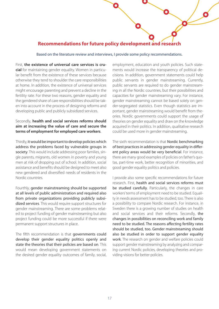## **Recommendations for future policy development and research**

Based on the literature review and interviews, I provide some policy recommendations.

First, **the existence of universal care services is crucial** for maintaining gender equality. Women in particular benefit from the existence of these services because otherwise they tend to shoulder the care responsibilities at home. In addition, the existence of universal services might encourage parenting and prevent a decline in the fertility rate. For these two reasons, gender equality and the gendered share of care responsibilities should be taken into account in the process of designing reforms and developing public and publicly subsidized services.

#### Secondly, **health and social services reforms should aim at increasing the value of care and secure the terms of employment for employed care workers**.

Thirdly, it would be important to develop policies which address the problems faced by vulnerable groups in society. This would include addressing poor families, single parents, migrants, old women in poverty and young men at risk of dropping out of school. In addition, social assistance and benefits should be designed to meet also new gendered and diversified needs of residents in the Nordic countries.

Fourthly, gender mainstreaming should be supported at all levels of public administration and required also from private organizations providing publicly subsidized services. This would require support structures for gender mainstreaming. There are some problems related to project funding of gender mainstreaming but also project funding could be more successful if there were permanent support structures in place.

The fifth recommendation is that governments could develop their gender equality politics openly and state the theories that their policies are based on. This would mean developing government statements on the desired gender equality outcomes of family, social, employment, education and youth policies. Such statements would increase the transparency of political decisions. In addition, government statements could help public servants in gender mainstreaming. Currently, public servants are required to do gender mainstreaming in all the Nordic countries, but their possibilities and capacities for gender mainstreaming vary. For instance, gender mainstreaming cannot be based solely on gender-segregated statistics. Even though statistics are important, gender mainstreaming would benefit from theories. Nordic governments could support the usage of theories on gender equality and draw on the knowledge acquired in their politics. In addition, qualitative research could be used more in gender mainstreaming.

The sixth recommendation is that Nordic benchmarking of best practices in addressing gender equality in different policy areas would be very beneficial. For instance, there are many good examples of policies on father's quotas, part-time work, better recognition of minorities, and good gender equality politics and policies.

I provide also some specific recommendations for future research. First, health and social services reforms must be studied carefully. Particularly, the changes in care workers' terms of employment need to be studied. Equality in needs assessment has to be studied, too. There is also a possibility to compare Nordic research. For instance, in Sweden there is a growing number of studies on health and social services and their reforms. Secondly, the changes in possibilities on reconciling work and family need to be studied. The reasons affecting fertility rates should be studied, too. Gender mainstreaming should also be studied in order to support gender equality work. The research on gender and welfare policies could support gender mainstreaming by analyzing and comparing current Nordic policies, developing theories and providing visions for better policies.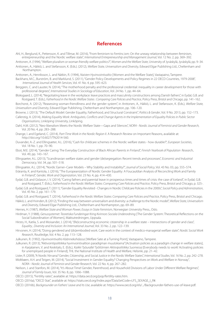#### **References**

Ahl, H., Berglund, K., Pettersson, K. and Tillmar, M. (2016), "From feminism to FemInc.ism: On the uneasy relationship between feminism, entrepreneurship and the Nordic welfare state", *International Entrepreneurship and Management Journal*, Vol. 12 No. 2, pp. 369–392.

Anttonen, A. (1994), "Welfare pluralism or woman friendly welfare politics?", *Women and the Welfare State*, University of Jyväskylä, Jyväskylä, pp. 9–34. Anttonen, A., Häikiö, L. and Stefansson, K. (Eds.). (2012), *Welfare State, Universalism and Diversity*, Edward Elgar Publishing Ltd., Cheltenham and

Northampton.

Anttonen, A., Henriksson, L. and Nätkin, R. (1994), *Naisten Hyvinvointivaltio* [Women and the Welfare State], Vastapaino, Tampere.

Backhans, M.C., Burström, B. and Marklund, S. (2011), "Gender Policy Developments and Policy Regimes in 22 OECD Countries, 1979-2008", *International Journal of Health Services*, Vol. 41 No. 4, pp. 595–623.

Berggren, C. and Lauster, N. (2014), "The motherhood penalty and the professional credential: inequality in career development for those with professional degrees", *International Studies in Sociology of Education*, Vol. 24 No. 1, pp. 44–64.

Bloksgaard, L. (2014), "Negotiating leave in the workplace: leave practices and masculinity constructions among Danish fathers", in Eydal, G.B. and Rostgaard, T. (Eds.), *Fatherhood in the Nordic Welfare States : Comparing Care Policies and Practice*, Policy Press, Bristol and Chicago, pp. 141–162.

Borchorst, A. (2012), "Reasessing woman-friendliness and the gender system", in Anttonen, A., Häikiö, L. and Stefansson, K. (Eds.), *Welfare State, Universalism and Diversity*, Edward Elgar Publishing, Cheltenham and Northampton, pp. 106–120.

Browne, J. (2013), "The Default Model: Gender Equality, Fatherhood, and Structural Constraint", *Politics & Gender*, Vol. 9 No. 2013, pp. 152–173.

- Callerstig, A. (2014), *Making Equality Work: Ambiguiteis, Conflicts and Change Agents in the Implementation of Equality Policies in Public Sector Organisations*, Linköping University, Linköping.
- Dahl, H.M. (2012), "Neo-liberalism Meets the Nordic Welfare State—Gaps and Silences", *NORA Nordic Journal of Feminist and Gender Research,*  Vol. 20 No. 4, pp. 283–288.
- Drange, I. and Egeland, C. (2014), *Part-Time Work in the Nordic Region II*. A Research Review on Important Reasons, available at: http://doi.org/10.6027/TN2014-560.
- Duvander, A.-Z. and Ellingsæter, A.L. (2016), "Cash for childcare schemes in the Nordic welfare states how durable?", *European Societies*, Vol. 18 No. 1, pp. 70–90.
- Ebot, M.E. (2014), "Gender Caring: The Everyday Construction of Black African Parents in Finland", *Finnish Yearbook of Population Researc*h, Vol. 49, pp. 143–167.
- Ellingsaeter, A.L. (2013), "Scandinavian welfare states and gender (de)segregation: Recent trends and processes", *Economic and Industrial Democracy*, Vol. 34, pp. 501–518.

Ellingsæter, A.L. (2014), "Nordic Earner–Carer Models – Why Stability and Instability?", *Journal of Social Policy*, Vol. 43 No. 03, pp. 555–574.

Eräranta, K. and Kantola, J. (2016), "The Europeanization of Nordic Gender Equality: A Foucauldian Analysis of Reconciling Work and Family in Finland", *Gender, Work and Organization*, Vol. 23 No. 4, pp. 414–430.

Eydal, G.B. and Gislason, I. V. (2014), "Caring fathers and parental leave in prosperous times and times of crisis: the case of Iceland", in Eydal, G.B. and Rostgaard, T. (Eds.), *Fatherhood in the Nordic Welfare States: Comparing Care Policies and Practice*, Policy Press, Bristol and Chicago, p. 325-.

Eydal, G.B. and Rostgaard, T. (2011), "Gender Equality Revisited - Changes in Nordic Childcare Policies in the 2000s", *Social Policy and Administration*, Vol. 45 No. 2, pp. 161–179.

Eydal, G.B. and Rostgaard, T. (2014), *Fatherhood in the Nordic Welfare States: Comparing Care Policies and Practice*, Policy Press, Bristol and Chicago.

Häikiö, L. and Hvinden, B. (2012), "Finding the way between universalism and diversity: a challenge to the Nordic model", *Welfare State, Universalism and Diversity*, Edward Elgar Publishing Ltd., Cheltenham and Northampton, pp. 69–89.

Hernes, H. (1987), *Welfare State and Woman Power, Essays in State Feminism*, Norwegian University Press., Oslo.

Hirdman, Y. (1988), *Genussystemet: Teoretiska Funderingar Kring Kvinnors Sociala Underordning* [The Gender System: Theoretical Reflections on the Social Subordination of Women], Maktutredningen, Uppsala.

- Hirsto, H., Katila, S. and Moisander, J. (2014), "(Re)constructing economic citizenship in a welfare state intersections of gender and class", *Equality , Diversity and Inclusion: An International Journal*, Vol. 33 No. 2, pp. 122–139.
- Hirvonen, H. (2014), "Doing gendered and (dis)embodied work. Care work in the context of medico-managerial welfare state", *Nordic Social Work Research*, Routledge, Vol. 4 No. 2, pp. 113–128.

Julkunen, R. (1992), *Hyvinvointivaltio Käännekohdassa* [Welfare Sate at a Turning Point], Vastapaino, Tampere.

- Julkunen, R. (2013), "Aktivointipolitiikka hyvinvointivaltion paradigman muutoksena" [Activation policies as a paradigm change in welfare states], in Karjalainen, V. and Keskitalo, E. (Eds.), *Kaikki Työuralle! Työttömien Aktiivipolitiikka Suomessa* [Everybody needs to work! Activating policies for unemployed people in Finland], THL the National Institute of Health and Welfare, Helsinki, pp. 21–42.
- Lister, R. (2009), "A Nordic Nirvana? Gender, Citizenship, and Social Justice in the Nordic Welfare States", *International Studies*, Vol. 16 No. 2, pp. 242–278. Midtbøen, A.H. and Teigen, M. (2014), "Social Investment in Gender Equality? Changing Perspectives on Work and Welfare in Norway",

*NORA - Nordic Journal of Feminist and Gender Research*, Vol. 22 No. 4, pp. 267–282.

Neilson, J. and Stanfors, M. (2014), "It's About Time! Gender, Parenthood, and Household Divisions of Labor Under Different Welfare Regimes", *Journal of Family Issues*, Vol. 35 No. 8, pp. 1066–1088.

OECD. (2015), "Fertility rates", available at: https://data.oecd.org/pop/fertility-rates.htm.

OECD. (2016a), "OECD Stat", available at: https://stats.oecd.org/Index.aspx?DataSetCode=LFS\_SEXAGE\_I\_R#.

OECD. (2016b), *Backgrounder on Fathers' Leave and Its Use*, available at: https://www.oecd.org/els/.../Backgrounder-fathers-use-of-leave.pdf.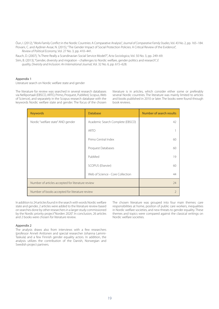Öun, I. (2012), "Work-Family Conflict in the Nordic Countries: A Comparative Analysis", *Journal of Comparative Family Studies*, Vol. 43 No. 2, pp. 165–184. Piovani, C. and Aydiner-Avsar, N. (2015), "The Gender Impact of Social Protection Policies: A Critical Review of the Evidence", *Review of Political Economy*, Vol. 27 No. 3, pp. 410–441.

Rauch, D. (2007), "Is There Really a Scandinavian Social Service Model?", *Acta Sociologica*, Vol. 50 No. 3, pp. 249–69.

Siim, B. (2013), "Gender, diversity and migration - challenges to Nordic welfare, gender politics and research", *E*

*quality, Diversity and Inclusion: An International Journa*l, Vol. 32 No. 6, pp. 615–628.

#### Appendix 1

Literature search on Nordic welfare state and gender

The literature for review was searched in several research databases via Nelliportaali (EBSCO, ARTO, Primo, Proquest, PubMed, Scopus, Web of Science), and separately in the Scopus research database with the keywords Nordic welfare state and gender. The focus of the chosen literature is in articles, which consider either some or preferably several Nordic countries. The literature was mainly limited to articles and books published in 2010 or later. The books were found through book reviews.

| <b>Keywords</b>                                   | <b>Database</b>                  | Number of search results |
|---------------------------------------------------|----------------------------------|--------------------------|
| Nordic "welfare state" AND gender                 | Academic Search Complete (EBSCO) | 42                       |
|                                                   | <b>ARTO</b>                      |                          |
|                                                   | Primo Central Index              | 60                       |
|                                                   | Proquest Databases               | 60                       |
|                                                   | PubMed                           | 19                       |
|                                                   | SCOPUS (Elsevier)                | 60                       |
|                                                   | Web of Science - Core Collection | 44                       |
| Number of articles accepted for literature review |                                  | 24                       |
| Number of books accepted for literature review    |                                  | $\mathcal{P}$            |

In addition to 24 articles found in the search with words Nordic welfare state and gender, 2 articles were added to the literature review based on searches done by other researchers in a larger study commissioned by the Nordic priority project"Norden 2020". In conclusion, 26 articles and 2 books were chosen for literature review.

#### Appendix 2

The analysis draws also from interviews with a few researchers (professor Anneli Anttonen and special researcher Johanna Lammi-Taskula) and a few Finnish gender equality actors. In addition, the analysis utilizes the contribution of the Danish, Norwegian and Swedish project partners.

The chosen literature was grouped into four main themes: care responsibilities at home, position of public care workers, inequalities in Nordic welfare societies, and new threats to gender equality. These themes and topics were compared against the classical writings on Nordic welfare societies.